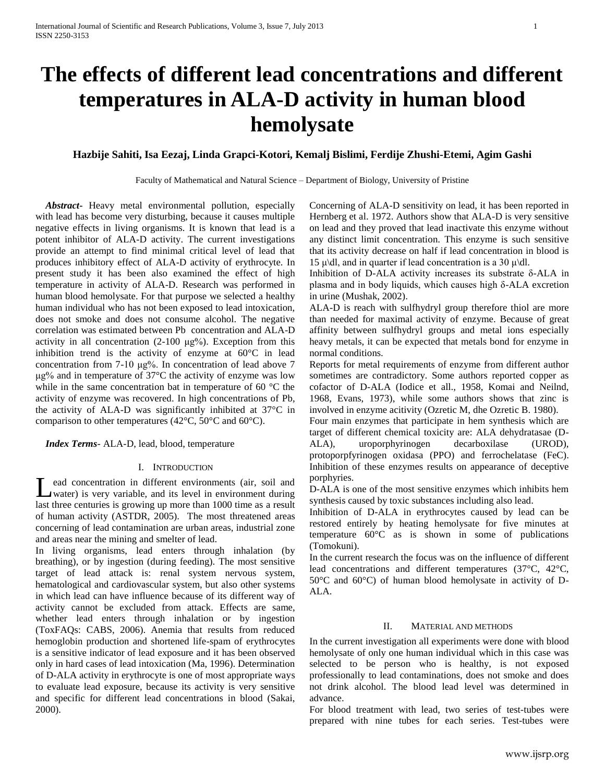# **The effects of different lead concentrations and different temperatures in ALA-D activity in human blood hemolysate**

## **Hazbije Sahiti, Isa Eezaj, Linda Grapci-Kotori, Kemalj Bislimi, Ferdije Zhushi-Etemi, Agim Gashi**

Faculty of Mathematical and Natural Science – Department of Biology, University of Pristine

 *Abstract***-** Heavy metal environmental pollution, especially with lead has become very disturbing, because it causes multiple negative effects in living organisms. It is known that lead is a potent inhibitor of ALA-D activity. The current investigations provide an attempt to find minimal critical level of lead that produces inhibitory effect of ALA-D activity of erythrocyte. In present study it has been also examined the effect of high temperature in activity of ALA-D. Research was performed in human blood hemolysate. For that purpose we selected a healthy human individual who has not been exposed to lead intoxication, does not smoke and does not consume alcohol. The negative correlation was estimated between Pb concentration and ALA-D activity in all concentration (2-100 μg%). Exception from this inhibition trend is the activity of enzyme at 60°C in lead concentration from 7-10 μg%. In concentration of lead above 7 μg% and in temperature of 37°C the activity of enzyme was low while in the same concentration bat in temperature of 60 °C the activity of enzyme was recovered. In high concentrations of Pb, the activity of ALA-D was significantly inhibited at 37°C in comparison to other temperatures (42°C, 50°C and 60°C).

 *Index Terms*- ALA-D, lead, blood, temperature

### I. INTRODUCTION

ead concentration in different environments (air, soil and water) is very variable, and its level in environment during Lead concentration in different environments (air, soil and water) is very variable, and its level in environment during last three centuries is growing up more than 1000 time as a result of human activity (ASTDR, 2005). The most threatened areas concerning of lead contamination are urban areas, industrial zone and areas near the mining and smelter of lead.

In living organisms, lead enters through inhalation (by breathing), or by ingestion (during feeding). The most sensitive target of lead attack is: renal system nervous system, hematological and cardiovascular system, but also other systems in which lead can have influence because of its different way of activity cannot be excluded from attack. Effects are same, whether lead enters through inhalation or by ingestion (ToxFAQs: CABS, 2006). Anemia that results from reduced hemoglobin production and shortened life-spam of erythrocytes is a sensitive indicator of lead exposure and it has been observed only in hard cases of lead intoxication (Ma, 1996). Determination of D-ALA activity in erythrocyte is one of most appropriate ways to evaluate lead exposure, because its activity is very sensitive and specific for different lead concentrations in blood (Sakai, 2000).

Concerning of ALA-D sensitivity on lead, it has been reported in Hernberg et al. 1972. Authors show that ALA-D is very sensitive on lead and they proved that lead inactivate this enzyme without any distinct limit concentration. This enzyme is such sensitive that its activity decrease on half if lead concentration in blood is 15 μ\dl, and in quarter if lead concentration is a 30 μ\dl.

Inhibition of D-ALA activity increases its substrate δ-ALA in plasma and in body liquids, which causes high δ-ALA excretion in urine (Mushak, 2002).

ALA-D is reach with sulfhydryl group therefore thiol are more than needed for maximal activity of enzyme. Because of great affinity between sulfhydryl groups and metal ions especially heavy metals, it can be expected that metals bond for enzyme in normal conditions.

Reports for metal requirements of enzyme from different author sometimes are contradictory. Some authors reported copper as cofactor of D-ALA (Iodice et all., 1958, Komai and Neilnd, 1968, Evans, 1973), while some authors shows that zinc is involved in enzyme acitivity (Ozretic M, dhe Ozretic B. 1980).

Four main enzymes that participate in hem synthesis which are target of different chemical toxicity are: ALA dehydratasae (D-ALA), uroporphyrinogen decarboxilase (UROD), protoporpfyrinogen oxidasa (PPO) and ferrochelatase (FeC). Inhibition of these enzymes results on appearance of deceptive porphyries.

D-ALA is one of the most sensitive enzymes which inhibits hem synthesis caused by toxic substances including also lead.

Inhibition of D-ALA in erythrocytes caused by lead can be restored entirely by heating hemolysate for five minutes at temperature 60°C as is shown in some of publications (Tomokuni).

In the current research the focus was on the influence of different lead concentrations and different temperatures (37°C, 42°C, 50°C and 60°C) of human blood hemolysate in activity of D-ALA.

#### II. MATERIAL AND METHODS

In the current investigation all experiments were done with blood hemolysate of only one human individual which in this case was selected to be person who is healthy, is not exposed professionally to lead contaminations, does not smoke and does not drink alcohol. The blood lead level was determined in advance.

For blood treatment with lead, two series of test-tubes were prepared with nine tubes for each series. Test-tubes were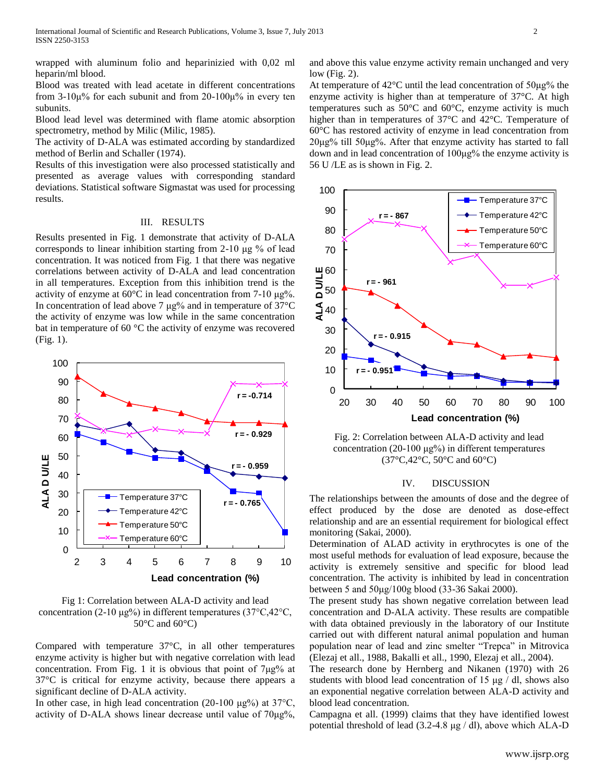wrapped with aluminum folio and heparinizied with 0,02 ml heparin/ml blood.

Blood was treated with lead acetate in different concentrations from 3-10μ% for each subunit and from 20-100μ% in every ten subunits.

Blood lead level was determined with flame atomic absorption spectrometry, method by Milic (Milic, 1985).

The activity of D-ALA was estimated according by standardized method of Berlin and Schaller (1974).

Results of this investigation were also processed statistically and presented as average values with corresponding standard deviations. Statistical software Sigmastat was used for processing results.

#### III. RESULTS

Results presented in Fig. 1 demonstrate that activity of D-ALA corresponds to linear inhibition starting from 2-10 μg % of lead concentration. It was noticed from Fig. 1 that there was negative correlations between activity of D-ALA and lead concentration in all temperatures. Exception from this inhibition trend is the activity of enzyme at 60°C in lead concentration from 7-10 μg%. In concentration of lead above 7  $\mu$ g% and in temperature of 37°C the activity of enzyme was low while in the same concentration bat in temperature of 60 °C the activity of enzyme was recovered (Fig. 1).



Fig 1: Correlation between ALA-D activity and lead concentration (2-10 μg%) in different temperatures (37°C,42°C,  $50^{\circ}$ C and  $60^{\circ}$ C)

Compared with temperature 37°C, in all other temperatures enzyme activity is higher but with negative correlation with lead concentration. From Fig. 1 it is obvious that point of 7μg% at 37°C is critical for enzyme activity, because there appears a significant decline of D-ALA activity.

In other case, in high lead concentration (20-100  $\mu$ g%) at 37°C, activity of D-ALA shows linear decrease until value of 70μg%, and above this value enzyme activity remain unchanged and very low (Fig. 2).

At temperature of 42°C until the lead concentration of 50μg% the enzyme activity is higher than at temperature of 37°C. At high temperatures such as 50°C and 60°C, enzyme activity is much higher than in temperatures of 37°C and 42°C. Temperature of 60°C has restored activity of enzyme in lead concentration from 20μg% till 50μg%. After that enzyme activity has started to fall down and in lead concentration of 100μg% the enzyme activity is 56 U /LE as is shown in Fig. 2.



Fig. 2: Correlation between ALA-D activity and lead concentration (20-100 μg%) in different temperatures (37°C,42°C, 50°C and 60°C)

## IV. DISCUSSION

The relationships between the amounts of dose and the degree of effect produced by the dose are denoted as dose-effect relationship and are an essential requirement for biological effect monitoring (Sakai, 2000).

Determination of ALAD activity in erythrocytes is one of the most useful methods for evaluation of lead exposure, because the activity is extremely sensitive and specific for blood lead concentration. The activity is inhibited by lead in concentration between 5 and 50μg/100g blood (33-36 Sakai 2000).

The present study has shown negative correlation between lead concentration and D-ALA activity. These results are compatible with data obtained previously in the laboratory of our Institute carried out with different natural animal population and human population near of lead and zinc smelter "Trepca" in Mitrovica (Elezaj et all., 1988, Bakalli et all., 1990, Elezaj et all., 2004).

The research done by Hernberg and Nikanen (1970) with 26 students with blood lead concentration of 15 μg / dl, shows also an exponential negative correlation between ALA-D activity and blood lead concentration.

Campagna et all. (1999) claims that they have identified lowest potential threshold of lead (3.2-4.8 μg / dl), above which ALA-D